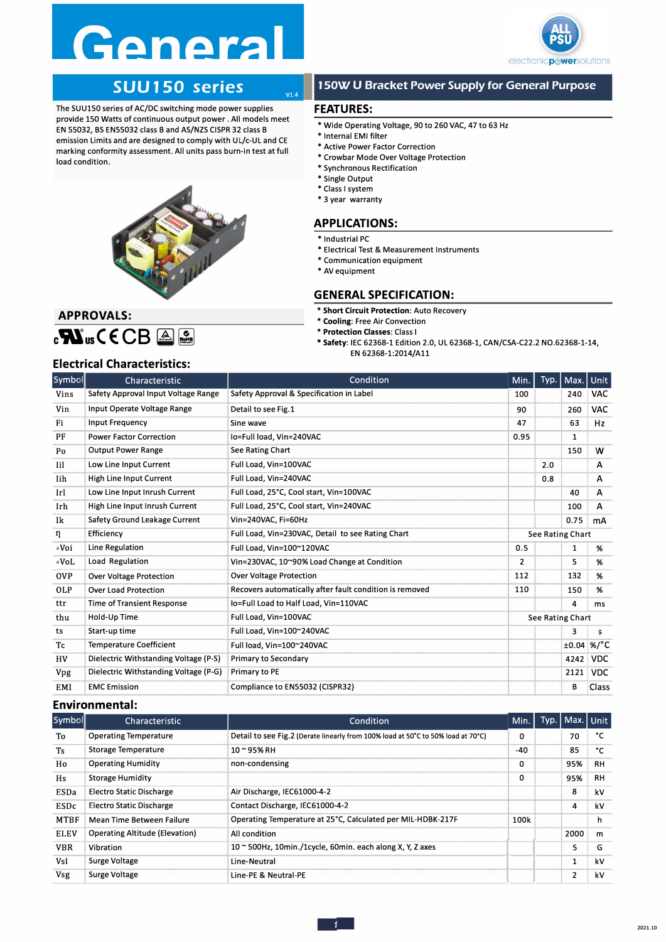## Genera



### **SUU 150 series**<br>
Fies of AC/DC switching mode power supplies<br>
FEATURES:

The SUU150 series of AC/DC switching mode power supplies provide 150 Watts of continuous output power . All models meet EN 55032, BS EN55032 class B and AS/NZS CISPR 32 class B emission Limits and are designed to comply with UL/c-UL and CE marking conformity assessment. All units pass burn-in test at full load condition.



#### **1 SOW U Bracket Power Supply for General Purpose**

- Wide Operating Voltage, 90 to 260 VAC, 47 to 63 Hz
- Internal EMI filter
- Active Power Factor Correction
- Crowbar Mode Over Voltage Protection
- Synchronous Rectification
- Single Output
- Class I system
- 3 year warranty

#### **APPLICATIONS:**

- Industrial PC
- Electrical Test & Measurement Instruments
- Communication equipment
- AV equipment

#### **GENERAL SPECIFICATION:**

- **Short Circuit Protection:** Auto Recovery
- **Cooling:** Free Air Convection
- **Protection Classes:** Class I
- \* **Safety:** IEC 62368-1 Edition 2.0, UL 62368-1, CAN/CSA-C22.2 N0.62368-1-14,
	- EN 62368-1:2014/All

#### **APPROVALS: c-NusCECB A &**

#### **Electrical Characteristics:**

| $_{\circ}$ and $\mathbf{M}_{\circ}$ ( $\mathsf{CD}$ $\cong$ $\mathbb{Z}_{\circ}$<br><b>Electrical Characteristics:</b> |                                       | * Protection Classes: Class I<br>* Safety: IEC 62368-1 Edition 2.0, UL 62368-1, CAN/CSA-C22.2 NO.62368-1-14,<br>EN 62368-1:2014/A11 |                  |                         |              |              |
|------------------------------------------------------------------------------------------------------------------------|---------------------------------------|-------------------------------------------------------------------------------------------------------------------------------------|------------------|-------------------------|--------------|--------------|
| Symbol                                                                                                                 | Characteristic                        | Condition                                                                                                                           | Min.             | Typ.                    | Max.         | Unit         |
| Vins                                                                                                                   | Safety Approval Input Voltage Range   | Safety Approval & Specification in Label                                                                                            | 100              |                         | 240          | <b>VAC</b>   |
| Vin                                                                                                                    | Input Operate Voltage Range           | Detail to see Fig. 1                                                                                                                | 90               |                         | 260          | <b>VAC</b>   |
| Fi                                                                                                                     | <b>Input Frequency</b>                | Sine wave                                                                                                                           | 47               |                         | 63           | Hz           |
| PF                                                                                                                     | <b>Power Factor Correction</b>        | Io=Full load, Vin=240VAC                                                                                                            | 0.95             |                         | $\mathbf{1}$ |              |
| Po                                                                                                                     | <b>Output Power Range</b>             | See Rating Chart                                                                                                                    |                  |                         | 150          | W            |
| Iil                                                                                                                    | Low Line Input Current                | Full Load, Vin=100VAC                                                                                                               |                  | 2.0                     |              | A            |
| Iih                                                                                                                    | High Line Input Current               | Full Load, Vin=240VAC                                                                                                               |                  | 0.8                     |              | A            |
| Irl                                                                                                                    | Low Line Input Inrush Current         | Full Load, 25°C, Cool start, Vin=100VAC                                                                                             |                  |                         | 40           | A            |
| Irh                                                                                                                    | High Line Input Inrush Current        | Full Load, 25°C, Cool start, Vin=240VAC                                                                                             |                  |                         | 100          | A            |
| Ik                                                                                                                     | Safety Ground Leakage Current         | Vin=240VAC, Fi=60Hz                                                                                                                 |                  |                         | 0.75         | mA           |
| η                                                                                                                      | Efficiency                            | Full Load, Vin=230VAC, Detail to see Rating Chart                                                                                   |                  | <b>See Rating Chart</b> |              |              |
| ∆Voi                                                                                                                   | Line Regulation                       | Full Load, Vin=100~120VAC                                                                                                           | 0.5              |                         | 1            | %            |
| ∆VoL                                                                                                                   | Load Regulation                       | Vin=230VAC, 10~90% Load Change at Condition                                                                                         | $\overline{2}$   |                         | 5            | %            |
| <b>OVP</b>                                                                                                             | <b>Over Voltage Protection</b>        | <b>Over Voltage Protection</b>                                                                                                      | 112              |                         | 132          | %            |
| <b>OLP</b>                                                                                                             | <b>Over Load Protection</b>           | Recovers automatically after fault condition is removed                                                                             | 110              |                         | 150          | %            |
| ttr                                                                                                                    | <b>Time of Transient Response</b>     | lo=Full Load to Half Load, Vin=110VAC                                                                                               |                  |                         | 4            | ms           |
| thu                                                                                                                    | Hold-Up Time                          | Full Load, Vin=100VAC                                                                                                               | See Rating Chart |                         |              |              |
| ts                                                                                                                     | Start-up time                         | Full Load, Vin=100~240VAC                                                                                                           |                  |                         | 3            | 5            |
| Tc                                                                                                                     | <b>Temperature Coefficient</b>        | Full load, Vin=100~240VAC                                                                                                           |                  |                         |              | $±0.04$ %/°C |
| HV                                                                                                                     | Dielectric Withstanding Voltage (P-S) | <b>Primary to Secondary</b>                                                                                                         |                  |                         | 4242         | <b>VDC</b>   |
| <b>Vpg</b>                                                                                                             | Dielectric Withstanding Voltage (P-G) | Primary to PE                                                                                                                       |                  |                         | 2121         | <b>VDC</b>   |
| EMI                                                                                                                    | <b>EMC</b> Emission                   | Compliance to EN55032 (CISPR32)                                                                                                     |                  |                         | в            | Class        |

#### **Environmental:**

| <b>Vpg</b>  | Dielectric Withstanding Voltage (P-G) | Primary to PE                                                                    |      |      | 2121         | <b>VDC</b>   |
|-------------|---------------------------------------|----------------------------------------------------------------------------------|------|------|--------------|--------------|
| EMI         | <b>EMC</b> Emission                   | Compliance to EN55032 (CISPR32)                                                  |      |      | в            | <b>Class</b> |
|             | <b>Environmental:</b>                 |                                                                                  |      |      |              |              |
| Symbol      | Characteristic                        | Condition                                                                        | Min. | Typ. | Max.   Unit  |              |
| To          | <b>Operating Temperature</b>          | Detail to see Fig.2 (Derate linearly from 100% load at 50°C to 50% load at 70°C) | 0    |      | 70           | °C           |
| Ts          | Storage Temperature                   | 10~95%RH                                                                         | -40  |      | 85           | °C           |
| Ho          | <b>Operating Humidity</b>             | non-condensing                                                                   | 0    |      | 95%          | RH           |
| Hs          | Storage Humidity                      |                                                                                  | 0    |      | 95%          | RH           |
| <b>ESDa</b> | Electro Static Discharge              | Air Discharge, IEC61000-4-2                                                      |      |      | 8            | kV           |
| <b>ESDc</b> | Electro Static Discharge              | Contact Discharge, IEC61000-4-2                                                  |      |      | 4            | kV           |
| <b>MTBF</b> | Mean Time Between Failure             | Operating Temperature at 25°C, Calculated per MIL-HDBK-217F                      | 100k |      |              | h            |
| <b>ELEV</b> | <b>Operating Altitude (Elevation)</b> | All condition                                                                    |      |      | 2000         | m            |
| <b>VBR</b>  | Vibration                             | $10 \approx 500$ Hz, 10min./1cycle, 60min. each along X, Y, Z axes               |      |      | 5            | G            |
| Vsl         | Surge Voltage                         | Line-Neutral                                                                     |      |      | $\mathbf{1}$ | kV           |
| <b>Vsg</b>  | Surge Voltage                         | Line-PE & Neutral-PE                                                             |      |      | 2            | kV           |